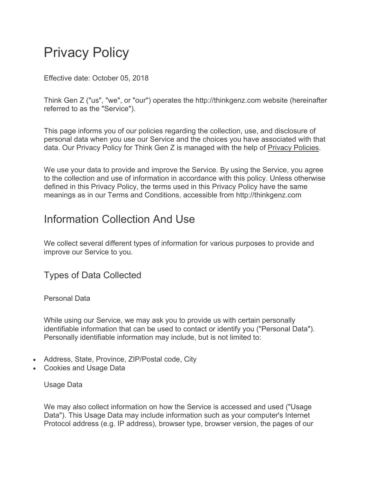# Privacy Policy

Effective date: October 05, 2018

Think Gen Z ("us", "we", or "our") operates the http://thinkgenz.com website (hereinafter referred to as the "Service").

This page informs you of our policies regarding the collection, use, and disclosure of personal data when you use our Service and the choices you have associated with that data. Our Privacy Policy for Think Gen Z is managed with the help of Privacy Policies.

We use your data to provide and improve the Service. By using the Service, you agree to the collection and use of information in accordance with this policy. Unless otherwise defined in this Privacy Policy, the terms used in this Privacy Policy have the same meanings as in our Terms and Conditions, accessible from http://thinkgenz.com

### Information Collection And Use

We collect several different types of information for various purposes to provide and improve our Service to you.

Types of Data Collected

Personal Data

While using our Service, we may ask you to provide us with certain personally identifiable information that can be used to contact or identify you ("Personal Data"). Personally identifiable information may include, but is not limited to:

- Address, State, Province, ZIP/Postal code, City
- Cookies and Usage Data

Usage Data

We may also collect information on how the Service is accessed and used ("Usage Data"). This Usage Data may include information such as your computer's Internet Protocol address (e.g. IP address), browser type, browser version, the pages of our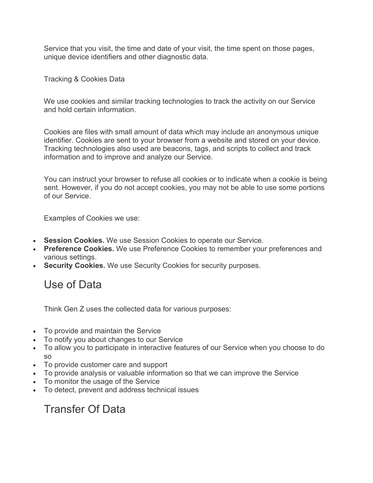Service that you visit, the time and date of your visit, the time spent on those pages, unique device identifiers and other diagnostic data.

Tracking & Cookies Data

We use cookies and similar tracking technologies to track the activity on our Service and hold certain information.

Cookies are files with small amount of data which may include an anonymous unique identifier. Cookies are sent to your browser from a website and stored on your device. Tracking technologies also used are beacons, tags, and scripts to collect and track information and to improve and analyze our Service.

You can instruct your browser to refuse all cookies or to indicate when a cookie is being sent. However, if you do not accept cookies, you may not be able to use some portions of our Service.

Examples of Cookies we use:

- **Session Cookies.** We use Session Cookies to operate our Service.
- **Preference Cookies.** We use Preference Cookies to remember your preferences and various settings.
- **Security Cookies.** We use Security Cookies for security purposes.

Use of Data

Think Gen Z uses the collected data for various purposes:

- To provide and maintain the Service
- To notify you about changes to our Service
- To allow you to participate in interactive features of our Service when you choose to do so
- To provide customer care and support
- To provide analysis or valuable information so that we can improve the Service
- To monitor the usage of the Service
- To detect, prevent and address technical issues

Transfer Of Data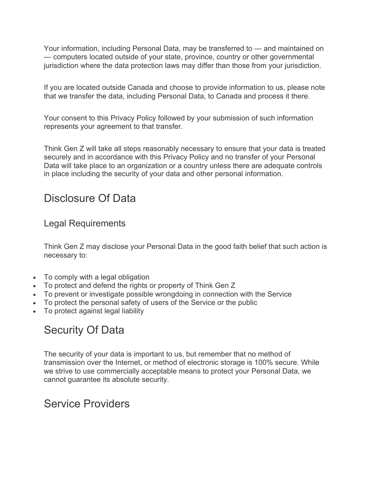Your information, including Personal Data, may be transferred to — and maintained on — computers located outside of your state, province, country or other governmental jurisdiction where the data protection laws may differ than those from your jurisdiction.

If you are located outside Canada and choose to provide information to us, please note that we transfer the data, including Personal Data, to Canada and process it there.

Your consent to this Privacy Policy followed by your submission of such information represents your agreement to that transfer.

Think Gen Z will take all steps reasonably necessary to ensure that your data is treated securely and in accordance with this Privacy Policy and no transfer of your Personal Data will take place to an organization or a country unless there are adequate controls in place including the security of your data and other personal information.

### Disclosure Of Data

#### Legal Requirements

Think Gen Z may disclose your Personal Data in the good faith belief that such action is necessary to:

- To comply with a legal obligation
- To protect and defend the rights or property of Think Gen Z
- To prevent or investigate possible wrongdoing in connection with the Service
- To protect the personal safety of users of the Service or the public
- To protect against legal liability

# Security Of Data

The security of your data is important to us, but remember that no method of transmission over the Internet, or method of electronic storage is 100% secure. While we strive to use commercially acceptable means to protect your Personal Data, we cannot guarantee its absolute security.

### Service Providers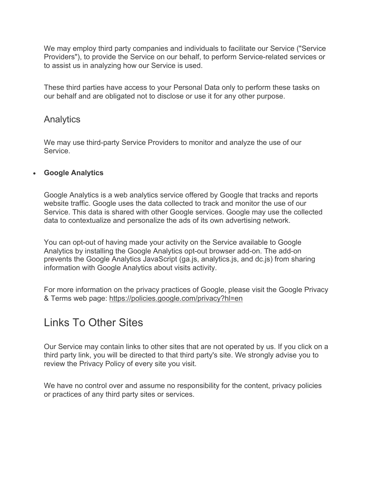We may employ third party companies and individuals to facilitate our Service ("Service Providers"), to provide the Service on our behalf, to perform Service-related services or to assist us in analyzing how our Service is used.

These third parties have access to your Personal Data only to perform these tasks on our behalf and are obligated not to disclose or use it for any other purpose.

#### **Analytics**

We may use third-party Service Providers to monitor and analyze the use of our Service.

#### • **Google Analytics**

Google Analytics is a web analytics service offered by Google that tracks and reports website traffic. Google uses the data collected to track and monitor the use of our Service. This data is shared with other Google services. Google may use the collected data to contextualize and personalize the ads of its own advertising network.

You can opt-out of having made your activity on the Service available to Google Analytics by installing the Google Analytics opt-out browser add-on. The add-on prevents the Google Analytics JavaScript (ga.js, analytics.js, and dc.js) from sharing information with Google Analytics about visits activity.

For more information on the privacy practices of Google, please visit the Google Privacy & Terms web page: https://policies.google.com/privacy?hl=en

### Links To Other Sites

Our Service may contain links to other sites that are not operated by us. If you click on a third party link, you will be directed to that third party's site. We strongly advise you to review the Privacy Policy of every site you visit.

We have no control over and assume no responsibility for the content, privacy policies or practices of any third party sites or services.